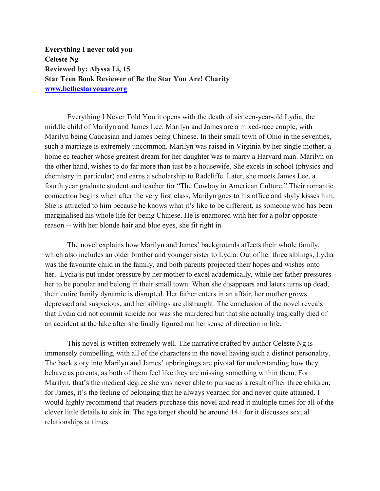**Everything I never told you Celeste Ng Reviewed by: Alyssa Li, 15 Star Teen Book Reviewer of Be the Star You Are! Charity www.bethestaryouare.org**

Everything I Never Told You it opens with the death of sixteen-year-old Lydia, the middle child of Marilyn and James Lee. Marilyn and James are a mixed-race couple, with Marilyn being Caucasian and James being Chinese. In their small town of Ohio in the seventies, such a marriage is extremely uncommon. Marilyn was raised in Virginia by her single mother, a home ec teacher whose greatest dream for her daughter was to marry a Harvard man. Marilyn on the other hand, wishes to do far more than just be a housewife. She excels in school (physics and chemistry in particular) and earns a scholarship to Radcliffe. Later, she meets James Lee, a fourth year graduate student and teacher for "The Cowboy in American Culture." Their romantic connection begins when after the very first class, Marilyn goes to his office and shyly kisses him. She is attracted to him because he knows what it's like to be different, as someone who has been marginalised his whole life for being Chinese. He is enamored with her for a polar opposite reason -- with her blonde hair and blue eyes, she fit right in.

The novel explains how Marilyn and James' backgrounds affects their whole family, which also includes an older brother and younger sister to Lydia. Out of her three siblings, Lydia was the favourite child in the family, and both parents projected their hopes and wishes onto her. Lydia is put under pressure by her mother to excel academically, while her father pressures her to be popular and belong in their small town. When she disappears and laters turns up dead, their entire family dynamic is disrupted. Her father enters in an affair, her mother grows depressed and suspicious, and her siblings are distraught. The conclusion of the novel reveals that Lydia did not commit suicide nor was she murdered but that she actually tragically died of an accident at the lake after she finally figured out her sense of direction in life.

This novel is written extremely well. The narrative crafted by author Celeste Ng is immensely compelling, with all of the characters in the novel having such a distinct personality. The back story into Marilyn and James' upbringings are pivotal for understanding how they behave as parents, as both of them feel like they are missing something within them. For Marilyn, that's the medical degree she was never able to pursue as a result of her three children; for James, it's the feeling of belonging that he always yearned for and never quite attained. I would highly recommend that readers purchase this novel and read it multiple times for all of the clever little details to sink in. The age target should be around 14+ for it discusses sexual relationships at times.